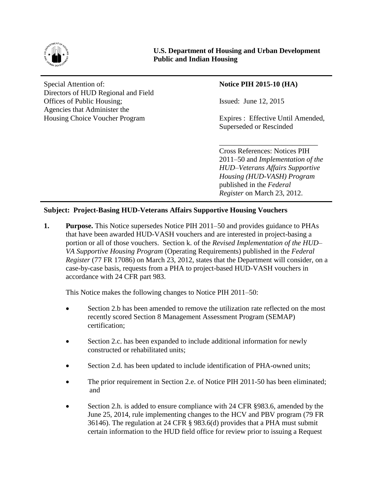

Special Attention of: **Notice PIH 2015-10** (HA) Directors of HUD Regional and Field Offices of Public Housing; Issued: June 12, 2015 Agencies that Administer the Housing Choice Voucher Program Expires : Effective Until Amended,

Superseded or Rescinded

\_\_\_\_\_\_\_\_\_\_\_\_\_\_\_\_\_\_\_\_\_\_\_\_\_\_\_

Cross References: Notices PIH 2011–50 and *Implementation of the HUD–Veterans Affairs Supportive Housing (HUD-VASH) Program* published in the *Federal Register* on March 23, 2012.

## **Subject: Project-Basing HUD-Veterans Affairs Supportive Housing Vouchers**

**1. Purpose.** This Notice supersedes Notice PIH 2011–50 and provides guidance to PHAs that have been awarded HUD-VASH vouchers and are interested in project-basing a portion or all of those vouchers. Section k. of the *Revised Implementation of the HUD– VA Supportive Housing Program* (Operating Requirements) published in the *Federal Register* (77 FR 17086) on March 23, 2012, states that the Department will consider, on a case-by-case basis, requests from a PHA to project-based HUD-VASH vouchers in accordance with 24 CFR part 983.

This Notice makes the following changes to Notice PIH 2011–50:

- Section 2.b has been amended to remove the utilization rate reflected on the most recently scored Section 8 Management Assessment Program (SEMAP) certification;
- Section 2.c. has been expanded to include additional information for newly constructed or rehabilitated units;
- Section 2.d. has been updated to include identification of PHA-owned units;
- The prior requirement in Section 2.e. of Notice PIH 2011-50 has been eliminated; and
- Section 2.h. is added to ensure compliance with 24 CFR §983.6, amended by the June 25, 2014, rule implementing changes to the HCV and PBV program (79 FR 36146). The regulation at 24 CFR § 983.6(d) provides that a PHA must submit certain information to the HUD field office for review prior to issuing a Request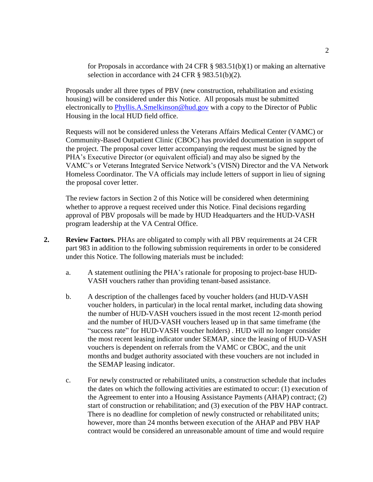for Proposals in accordance with 24 CFR § 983.51(b)(1) or making an alternative selection in accordance with 24 CFR § 983.51(b)(2).

Proposals under all three types of PBV (new construction, rehabilitation and existing housing) will be considered under this Notice. All proposals must be submitted electronically to [Phyllis.A.Smelkinson@hud.gov](mailto:Phyllis.A.Smelkinson@hud.gov) with a copy to the Director of Public Housing in the local HUD field office.

Requests will not be considered unless the Veterans Affairs Medical Center (VAMC) or Community-Based Outpatient Clinic (CBOC) has provided documentation in support of the project. The proposal cover letter accompanying the request must be signed by the PHA's Executive Director (or equivalent official) and may also be signed by the VAMC's or Veterans Integrated Service Network's (VISN) Director and the VA Network Homeless Coordinator. The VA officials may include letters of support in lieu of signing the proposal cover letter.

The review factors in Section 2 of this Notice will be considered when determining whether to approve a request received under this Notice. Final decisions regarding approval of PBV proposals will be made by HUD Headquarters and the HUD-VASH program leadership at the VA Central Office.

- **2. Review Factors.** PHAs are obligated to comply with all PBV requirements at 24 CFR part 983 in addition to the following submission requirements in order to be considered under this Notice. The following materials must be included:
	- a. A statement outlining the PHA's rationale for proposing to project-base HUD-VASH vouchers rather than providing tenant-based assistance.
	- b. A description of the challenges faced by voucher holders (and HUD-VASH voucher holders, in particular) in the local rental market, including data showing the number of HUD-VASH vouchers issued in the most recent 12-month period and the number of HUD-VASH vouchers leased up in that same timeframe (the "success rate" for HUD-VASH voucher holders) . HUD will no longer consider the most recent leasing indicator under SEMAP, since the leasing of HUD-VASH vouchers is dependent on referrals from the VAMC or CBOC, and the unit months and budget authority associated with these vouchers are not included in the SEMAP leasing indicator.
	- c. For newly constructed or rehabilitated units, a construction schedule that includes the dates on which the following activities are estimated to occur: (1) execution of the Agreement to enter into a Housing Assistance Payments (AHAP) contract; (2) start of construction or rehabilitation; and (3) execution of the PBV HAP contract. There is no deadline for completion of newly constructed or rehabilitated units; however, more than 24 months between execution of the AHAP and PBV HAP contract would be considered an unreasonable amount of time and would require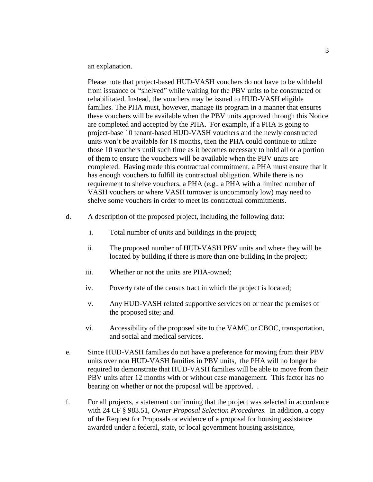an explanation.

Please note that project-based HUD-VASH vouchers do not have to be withheld from issuance or "shelved" while waiting for the PBV units to be constructed or rehabilitated. Instead, the vouchers may be issued to HUD-VASH eligible families. The PHA must, however, manage its program in a manner that ensures these vouchers will be available when the PBV units approved through this Notice are completed and accepted by the PHA. For example, if a PHA is going to project-base 10 tenant-based HUD-VASH vouchers and the newly constructed units won't be available for 18 months, then the PHA could continue to utilize those 10 vouchers until such time as it becomes necessary to hold all or a portion of them to ensure the vouchers will be available when the PBV units are completed. Having made this contractual commitment, a PHA must ensure that it has enough vouchers to fulfill its contractual obligation. While there is no requirement to shelve vouchers, a PHA (e.g., a PHA with a limited number of VASH vouchers or where VASH turnover is uncommonly low) may need to shelve some vouchers in order to meet its contractual commitments.

- d. A description of the proposed project, including the following data:
	- i. Total number of units and buildings in the project;
	- ii. The proposed number of HUD-VASH PBV units and where they will be located by building if there is more than one building in the project;
	- iii. Whether or not the units are PHA-owned;
	- iv. Poverty rate of the census tract in which the project is located;
	- v. Any HUD-VASH related supportive services on or near the premises of the proposed site; and
	- vi. Accessibility of the proposed site to the VAMC or CBOC, transportation, and social and medical services.
- e. Since HUD-VASH families do not have a preference for moving from their PBV units over non HUD-VASH families in PBV units, the PHA will no longer be required to demonstrate that HUD-VASH families will be able to move from their PBV units after 12 months with or without case management. This factor has no bearing on whether or not the proposal will be approved. .
- f. For all projects, a statement confirming that the project was selected in accordance with 24 CF § 983.51, *Owner Proposal Selection Procedures.* In addition, a copy of the Request for Proposals or evidence of a proposal for housing assistance awarded under a federal, state, or local government housing assistance,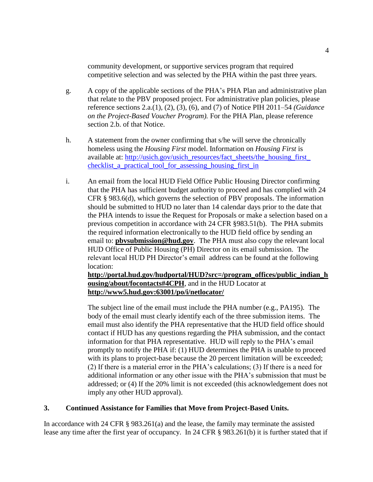community development, or supportive services program that required competitive selection and was selected by the PHA within the past three years.

- g. A copy of the applicable sections of the PHA's PHA Plan and administrative plan that relate to the PBV proposed project. For administrative plan policies, please reference sections 2.a.(1), (2), (3), (6), and (7) of Notice PIH 2011–54 *(Guidance on the Project-Based Voucher Program).* For the PHA Plan, please reference section 2.b. of that Notice.
- h. A statement from the owner confirming that s/he will serve the chronically homeless using the *Housing First* model. Information on *Housing First* is available at: [http://usich.gov/usich\\_resources/fact\\_sheets/the\\_housing\\_first\\_](http://usich.gov/usich_resources/fact_sheets/the_housing_first_%0bchecklist_a_practical_tool_for_assessing_housing_first_in) checklist a practical tool for assessing housing first in
- i. An email from the local HUD Field Office Public Housing Director confirming that the PHA has sufficient budget authority to proceed and has complied with 24 CFR § 983.6(d), which governs the selection of PBV proposals. The information should be submitted to HUD no later than 14 calendar days prior to the date that the PHA intends to issue the Request for Proposals or make a selection based on a previous competition in accordance with 24 CFR §983.51(b). The PHA submits the required information electronically to the HUD field office by sending an email to: **[pbvsubmission@hud.gov](mailto:pbvsubmission@hud.gov)**. The PHA must also copy the relevant local HUD Office of Public Housing (PH) Director on its email submission. The relevant local HUD PH Director's email address can be found at the following location:

**[http://portal.hud.gov/hudportal/HUD?src=/program\\_offices/public\\_indian\\_h](http://portal.hud.gov/hudportal/HUD?src=/program_offices/public_indian_housing/about/focontacts#4CPH) [ousing/about/focontacts#4CPH](http://portal.hud.gov/hudportal/HUD?src=/program_offices/public_indian_housing/about/focontacts#4CPH)**, and in the HUD Locator at **<http://www5.hud.gov:63001/po/i/netlocator/>**

The subject line of the email must include the PHA number (e.g., PA195). The body of the email must clearly identify each of the three submission items. The email must also identify the PHA representative that the HUD field office should contact if HUD has any questions regarding the PHA submission, and the contact information for that PHA representative. HUD will reply to the PHA's email promptly to notify the PHA if: (1) HUD determines the PHA is unable to proceed with its plans to project-base because the 20 percent limitation will be exceeded; (2) If there is a material error in the PHA's calculations; (3) If there is a need for additional information or any other issue with the PHA's submission that must be addressed; or (4) If the 20% limit is not exceeded (this acknowledgement does not imply any other HUD approval).

## **3. Continued Assistance for Families that Move from Project-Based Units.**

In accordance with 24 CFR § 983.261(a) and the lease, the family may terminate the assisted lease any time after the first year of occupancy. In 24 CFR § 983.261(b) it is further stated that if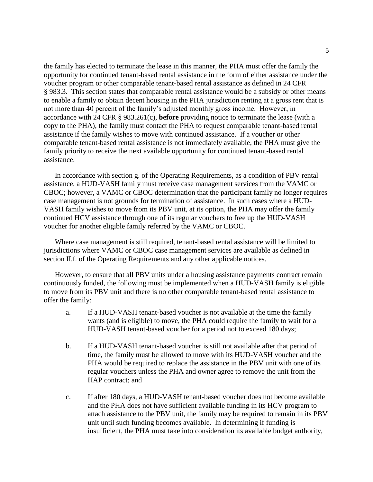the family has elected to terminate the lease in this manner, the PHA must offer the family the opportunity for continued tenant-based rental assistance in the form of either assistance under the voucher program or other comparable tenant-based rental assistance as defined in 24 CFR § 983.3.This section states that comparable rental assistance would be a subsidy or other means to enable a family to obtain decent housing in the PHA jurisdiction renting at a gross rent that is not more than 40 percent of the family's adjusted monthly gross income. However, in accordance with 24 CFR § 983.261(c), **before** providing notice to terminate the lease (with a copy to the PHA), the family must contact the PHA to request comparable tenant-based rental assistance if the family wishes to move with continued assistance. If a voucher or other comparable tenant-based rental assistance is not immediately available, the PHA must give the family priority to receive the next available opportunity for continued tenant-based rental assistance.

In accordance with section g. of the Operating Requirements, as a condition of PBV rental assistance, a HUD-VASH family must receive case management services from the VAMC or CBOC; however, a VAMC or CBOC determination that the participant family no longer requires case management is not grounds for termination of assistance. In such cases where a HUD-VASH family wishes to move from its PBV unit, at its option, the PHA may offer the family continued HCV assistance through one of its regular vouchers to free up the HUD-VASH voucher for another eligible family referred by the VAMC or CBOC.

Where case management is still required, tenant-based rental assistance will be limited to jurisdictions where VAMC or CBOC case management services are available as defined in section II.f. of the Operating Requirements and any other applicable notices.

However, to ensure that all PBV units under a housing assistance payments contract remain continuously funded, the following must be implemented when a HUD-VASH family is eligible to move from its PBV unit and there is no other comparable tenant-based rental assistance to offer the family:

- a. If a HUD-VASH tenant-based voucher is not available at the time the family wants (and is eligible) to move, the PHA could require the family to wait for a HUD-VASH tenant-based voucher for a period not to exceed 180 days;
- b. If a HUD-VASH tenant-based voucher is still not available after that period of time, the family must be allowed to move with its HUD-VASH voucher and the PHA would be required to replace the assistance in the PBV unit with one of its regular vouchers unless the PHA and owner agree to remove the unit from the HAP contract; and
- c. If after 180 days, a HUD-VASH tenant-based voucher does not become available and the PHA does not have sufficient available funding in its HCV program to attach assistance to the PBV unit, the family may be required to remain in its PBV unit until such funding becomes available. In determining if funding is insufficient, the PHA must take into consideration its available budget authority,